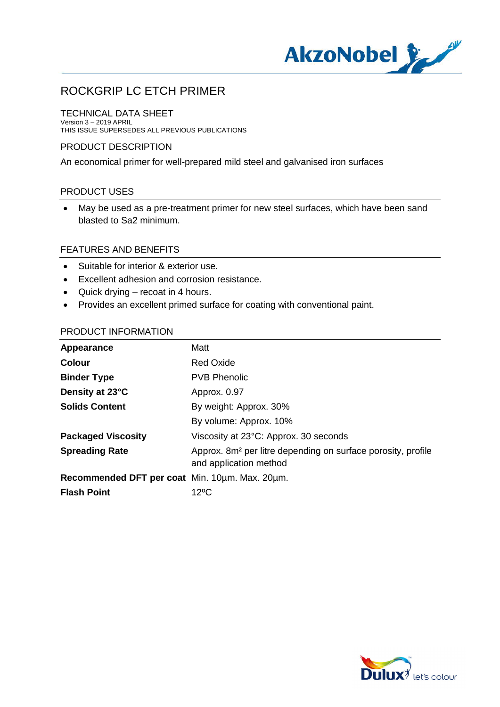

## TECHNICAL DATA SHEET

Version 3 – 2019 APRIL THIS ISSUE SUPERSEDES ALL PREVIOUS PUBLICATIONS

## PRODUCT DESCRIPTION

An economical primer for well-prepared mild steel and galvanised iron surfaces

## PRODUCT USES

· May be used as a pre-treatment primer for new steel surfaces, which have been sand blasted to Sa2 minimum.

## FEATURES AND BENEFITS

- · Suitable for interior & exterior use.
- · Excellent adhesion and corrosion resistance.
- · Quick drying recoat in 4 hours.
- · Provides an excellent primed surface for coating with conventional paint.

## PRODUCT INFORMATION

| Appearance                                     | Matt                                                                                               |
|------------------------------------------------|----------------------------------------------------------------------------------------------------|
| <b>Colour</b>                                  | <b>Red Oxide</b>                                                                                   |
| <b>Binder Type</b>                             | <b>PVB Phenolic</b>                                                                                |
| Density at 23°C                                | Approx. 0.97                                                                                       |
| <b>Solids Content</b>                          | By weight: Approx. 30%                                                                             |
|                                                | By volume: Approx. 10%                                                                             |
| <b>Packaged Viscosity</b>                      | Viscosity at 23°C: Approx. 30 seconds                                                              |
| <b>Spreading Rate</b>                          | Approx. 8m <sup>2</sup> per litre depending on surface porosity, profile<br>and application method |
| Recommended DFT per coat Min. 10um. Max. 20um. |                                                                                                    |
| <b>Flash Point</b>                             | $12^{\circ}$ C                                                                                     |

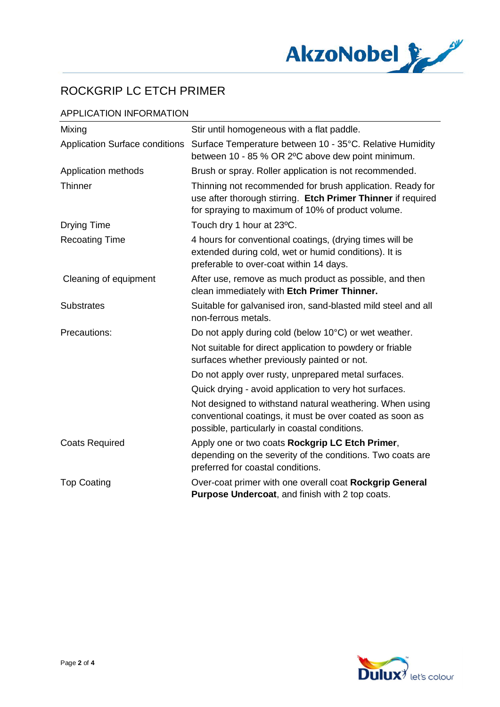

## APPLICATION INFORMATION

| Mixing                                | Stir until homogeneous with a flat paddle.                                                                                                                                     |
|---------------------------------------|--------------------------------------------------------------------------------------------------------------------------------------------------------------------------------|
| <b>Application Surface conditions</b> | Surface Temperature between 10 - 35°C. Relative Humidity<br>between 10 - 85 % OR 2°C above dew point minimum.                                                                  |
| Application methods                   | Brush or spray. Roller application is not recommended.                                                                                                                         |
| <b>Thinner</b>                        | Thinning not recommended for brush application. Ready for<br>use after thorough stirring. Etch Primer Thinner if required<br>for spraying to maximum of 10% of product volume. |
| <b>Drying Time</b>                    | Touch dry 1 hour at 23°C.                                                                                                                                                      |
| <b>Recoating Time</b>                 | 4 hours for conventional coatings, (drying times will be<br>extended during cold, wet or humid conditions). It is<br>preferable to over-coat within 14 days.                   |
| Cleaning of equipment                 | After use, remove as much product as possible, and then<br>clean immediately with Etch Primer Thinner.                                                                         |
| <b>Substrates</b>                     | Suitable for galvanised iron, sand-blasted mild steel and all<br>non-ferrous metals.                                                                                           |
| Precautions:                          | Do not apply during cold (below 10°C) or wet weather.                                                                                                                          |
|                                       | Not suitable for direct application to powdery or friable<br>surfaces whether previously painted or not.                                                                       |
|                                       | Do not apply over rusty, unprepared metal surfaces.                                                                                                                            |
|                                       | Quick drying - avoid application to very hot surfaces.                                                                                                                         |
|                                       | Not designed to withstand natural weathering. When using<br>conventional coatings, it must be over coated as soon as<br>possible, particularly in coastal conditions.          |
| <b>Coats Required</b>                 | Apply one or two coats Rockgrip LC Etch Primer,<br>depending on the severity of the conditions. Two coats are<br>preferred for coastal conditions.                             |
| <b>Top Coating</b>                    | Over-coat primer with one overall coat Rockgrip General<br>Purpose Undercoat, and finish with 2 top coats.                                                                     |

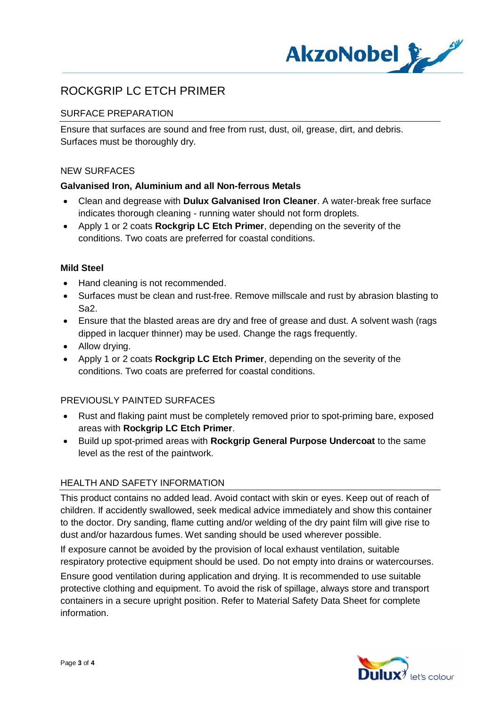

## SURFACE PREPARATION

Ensure that surfaces are sound and free from rust, dust, oil, grease, dirt, and debris. Surfaces must be thoroughly dry.

## NEW SURFACES

## **Galvanised Iron, Aluminium and all Non-ferrous Metals**

- · Clean and degrease with **Dulux Galvanised Iron Cleaner**. A water-break free surface indicates thorough cleaning - running water should not form droplets.
- · Apply 1 or 2 coats **Rockgrip LC Etch Primer**, depending on the severity of the conditions. Two coats are preferred for coastal conditions.

## **Mild Steel**

- · Hand cleaning is not recommended.
- · Surfaces must be clean and rust-free. Remove millscale and rust by abrasion blasting to Sa2.
- · Ensure that the blasted areas are dry and free of grease and dust. A solvent wash (rags dipped in lacquer thinner) may be used. Change the rags frequently.
- Allow drying.
- · Apply 1 or 2 coats **Rockgrip LC Etch Primer**, depending on the severity of the conditions. Two coats are preferred for coastal conditions.

## PREVIOUSLY PAINTED SURFACES

- · Rust and flaking paint must be completely removed prior to spot-priming bare, exposed areas with **Rockgrip LC Etch Primer**.
- · Build up spot-primed areas with **Rockgrip General Purpose Undercoat** to the same level as the rest of the paintwork.

## HEALTH AND SAFETY INFORMATION

This product contains no added lead. Avoid contact with skin or eyes. Keep out of reach of children. If accidently swallowed, seek medical advice immediately and show this container to the doctor. Dry sanding, flame cutting and/or welding of the dry paint film will give rise to dust and/or hazardous fumes. Wet sanding should be used wherever possible.

If exposure cannot be avoided by the provision of local exhaust ventilation, suitable respiratory protective equipment should be used. Do not empty into drains or watercourses.

Ensure good ventilation during application and drying. It is recommended to use suitable protective clothing and equipment. To avoid the risk of spillage, always store and transport containers in a secure upright position. Refer to Material Safety Data Sheet for complete information.